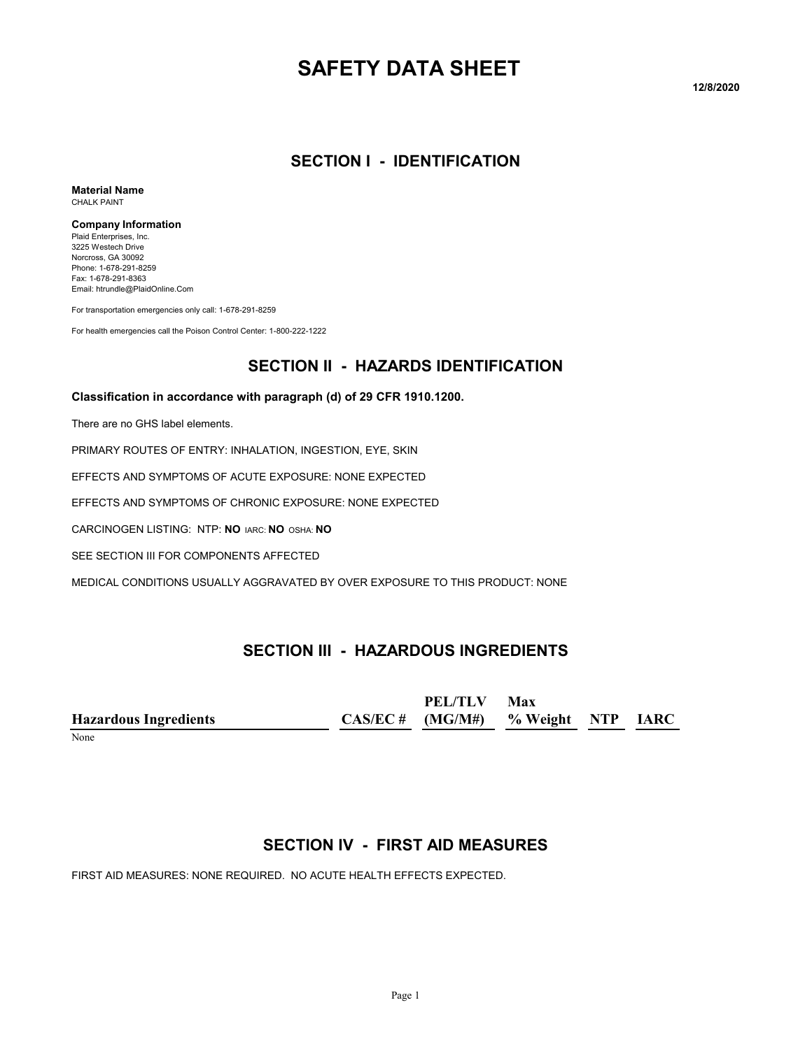# **SAFETY DATA SHEET**

**12/8/2020**

# **SECTION I - IDENTIFICATION**

**Material Name** CHALK PAINT

## **Company Information**

Plaid Enterprises, Inc. 3225 Westech Drive Norcross, GA 30092 Phone: 1-678-291-8259 Fax: 1-678-291-8363 Email: htrundle@PlaidOnline.Com

For transportation emergencies only call: 1-678-291-8259

For health emergencies call the Poison Control Center: 1-800-222-1222

# **SECTION II - HAZARDS IDENTIFICATION**

## **Classification in accordance with paragraph (d) of 29 CFR 1910.1200.**

There are no GHS label elements.

PRIMARY ROUTES OF ENTRY: INHALATION, INGESTION, EYE, SKIN

EFFECTS AND SYMPTOMS OF ACUTE EXPOSURE: NONE EXPECTED

EFFECTS AND SYMPTOMS OF CHRONIC EXPOSURE: NONE EXPECTED

CARCINOGEN LISTING: NTP: **NO** IARC: **NO** OSHA: **NO**

SEE SECTION III FOR COMPONENTS AFFECTED

MEDICAL CONDITIONS USUALLY AGGRAVATED BY OVER EXPOSURE TO THIS PRODUCT: NONE

# **SECTION III - HAZARDOUS INGREDIENTS**

|                              | PEL/TLV                              | Max |  |
|------------------------------|--------------------------------------|-----|--|
| <b>Hazardous Ingredients</b> | $CAS/EC$ # (MG/M#) % Weight NTP IARC |     |  |
|                              |                                      |     |  |

## None

# **SECTION IV - FIRST AID MEASURES**

FIRST AID MEASURES: NONE REQUIRED. NO ACUTE HEALTH EFFECTS EXPECTED.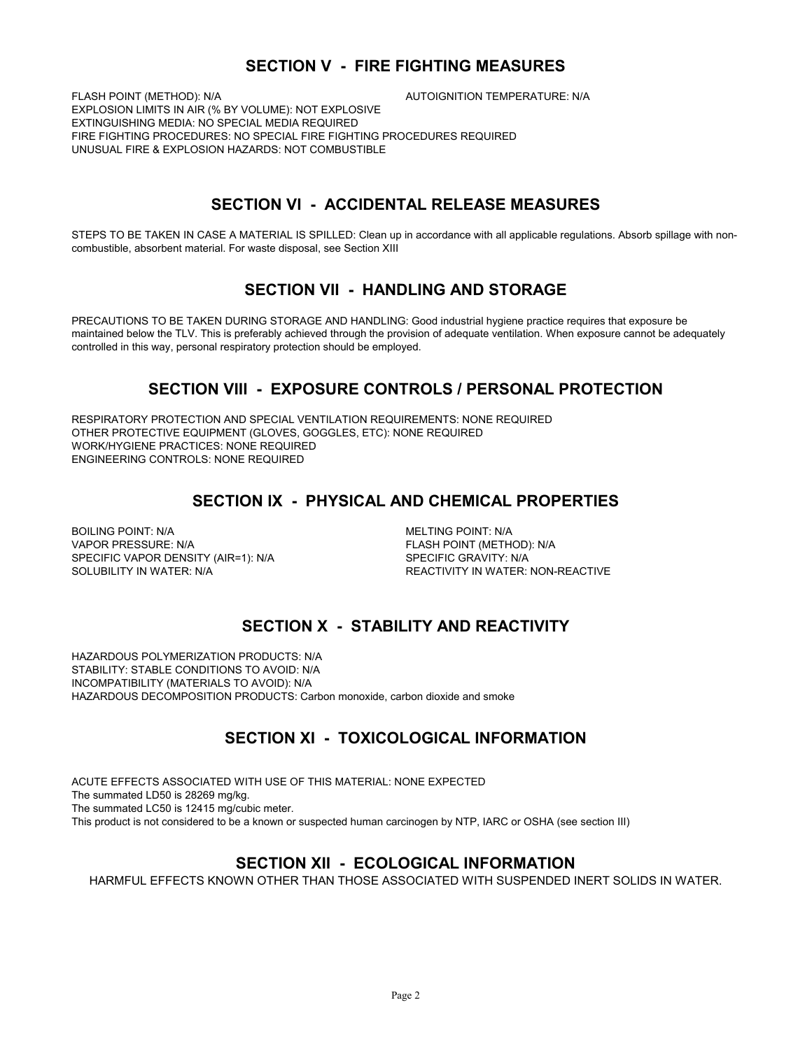# **SECTION V - FIRE FIGHTING MEASURES**

FLASH POINT (METHOD): N/A **AUTOIGNITION TEMPERATURE: N/A** EXPLOSION LIMITS IN AIR (% BY VOLUME): NOT EXPLOSIVE EXTINGUISHING MEDIA: NO SPECIAL MEDIA REQUIRED FIRE FIGHTING PROCEDURES: NO SPECIAL FIRE FIGHTING PROCEDURES REQUIRED UNUSUAL FIRE & EXPLOSION HAZARDS: NOT COMBUSTIBLE

# **SECTION VI - ACCIDENTAL RELEASE MEASURES**

STEPS TO BE TAKEN IN CASE A MATERIAL IS SPILLED: Clean up in accordance with all applicable regulations. Absorb spillage with noncombustible, absorbent material. For waste disposal, see Section XIII

# **SECTION VII - HANDLING AND STORAGE**

PRECAUTIONS TO BE TAKEN DURING STORAGE AND HANDLING: Good industrial hygiene practice requires that exposure be maintained below the TLV. This is preferably achieved through the provision of adequate ventilation. When exposure cannot be adequately controlled in this way, personal respiratory protection should be employed.

# **SECTION VIII - EXPOSURE CONTROLS / PERSONAL PROTECTION**

RESPIRATORY PROTECTION AND SPECIAL VENTILATION REQUIREMENTS: NONE REQUIRED OTHER PROTECTIVE EQUIPMENT (GLOVES, GOGGLES, ETC): NONE REQUIRED WORK/HYGIENE PRACTICES: NONE REQUIRED ENGINEERING CONTROLS: NONE REQUIRED

# **SECTION IX - PHYSICAL AND CHEMICAL PROPERTIES**

BOILING POINT: N/A<br>
VAPOR PRESSURE: N/A<br>
VAPOR PRESSURE: N/A SPECIFIC VAPOR DENSITY (AIR=1): N/A SPECIFIC GRAVITY: N/A SOLUBILITY IN WATER: N/A **REACTIVITY IN WATER: NON-REACTIVE** 

FLASH POINT (METHOD): N/A

# **SECTION X - STABILITY AND REACTIVITY**

HAZARDOUS POLYMERIZATION PRODUCTS: N/A STABILITY: STABLE CONDITIONS TO AVOID: N/A INCOMPATIBILITY (MATERIALS TO AVOID): N/A HAZARDOUS DECOMPOSITION PRODUCTS: Carbon monoxide, carbon dioxide and smoke

# **SECTION XI - TOXICOLOGICAL INFORMATION**

ACUTE EFFECTS ASSOCIATED WITH USE OF THIS MATERIAL: NONE EXPECTED The summated LD50 is 28269 mg/kg. The summated LC50 is 12415 mg/cubic meter. This product is not considered to be a known or suspected human carcinogen by NTP, IARC or OSHA (see section III)

# **SECTION XII - ECOLOGICAL INFORMATION**

HARMFUL EFFECTS KNOWN OTHER THAN THOSE ASSOCIATED WITH SUSPENDED INERT SOLIDS IN WATER.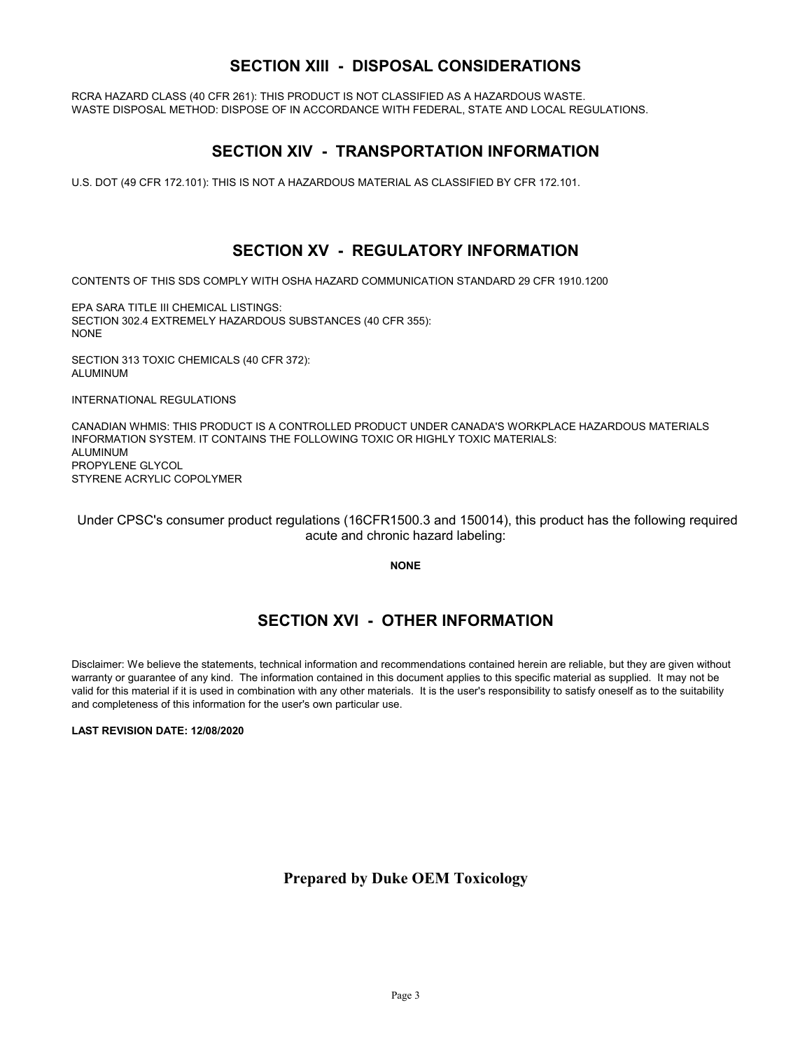# **SECTION XIII - DISPOSAL CONSIDERATIONS**

RCRA HAZARD CLASS (40 CFR 261): THIS PRODUCT IS NOT CLASSIFIED AS A HAZARDOUS WASTE. WASTE DISPOSAL METHOD: DISPOSE OF IN ACCORDANCE WITH FEDERAL, STATE AND LOCAL REGULATIONS.

# **SECTION XIV - TRANSPORTATION INFORMATION**

U.S. DOT (49 CFR 172.101): THIS IS NOT A HAZARDOUS MATERIAL AS CLASSIFIED BY CFR 172.101.

# **SECTION XV - REGULATORY INFORMATION**

CONTENTS OF THIS SDS COMPLY WITH OSHA HAZARD COMMUNICATION STANDARD 29 CFR 1910.1200

EPA SARA TITLE III CHEMICAL LISTINGS: SECTION 302.4 EXTREMELY HAZARDOUS SUBSTANCES (40 CFR 355): NONE

SECTION 313 TOXIC CHEMICALS (40 CFR 372): ALUMINUM

INTERNATIONAL REGULATIONS

CANADIAN WHMIS: THIS PRODUCT IS A CONTROLLED PRODUCT UNDER CANADA'S WORKPLACE HAZARDOUS MATERIALS INFORMATION SYSTEM. IT CONTAINS THE FOLLOWING TOXIC OR HIGHLY TOXIC MATERIALS: ALUMINUM PROPYLENE GLYCOL STYRENE ACRYLIC COPOLYMER

 Under CPSC's consumer product regulations (16CFR1500.3 and 150014), this product has the following required acute and chronic hazard labeling:

**NONE**

# **SECTION XVI - OTHER INFORMATION**

Disclaimer: We believe the statements, technical information and recommendations contained herein are reliable, but they are given without warranty or guarantee of any kind. The information contained in this document applies to this specific material as supplied. It may not be valid for this material if it is used in combination with any other materials. It is the user's responsibility to satisfy oneself as to the suitability and completeness of this information for the user's own particular use.

**LAST REVISION DATE: 12/08/2020**

**Prepared by Duke OEM Toxicology**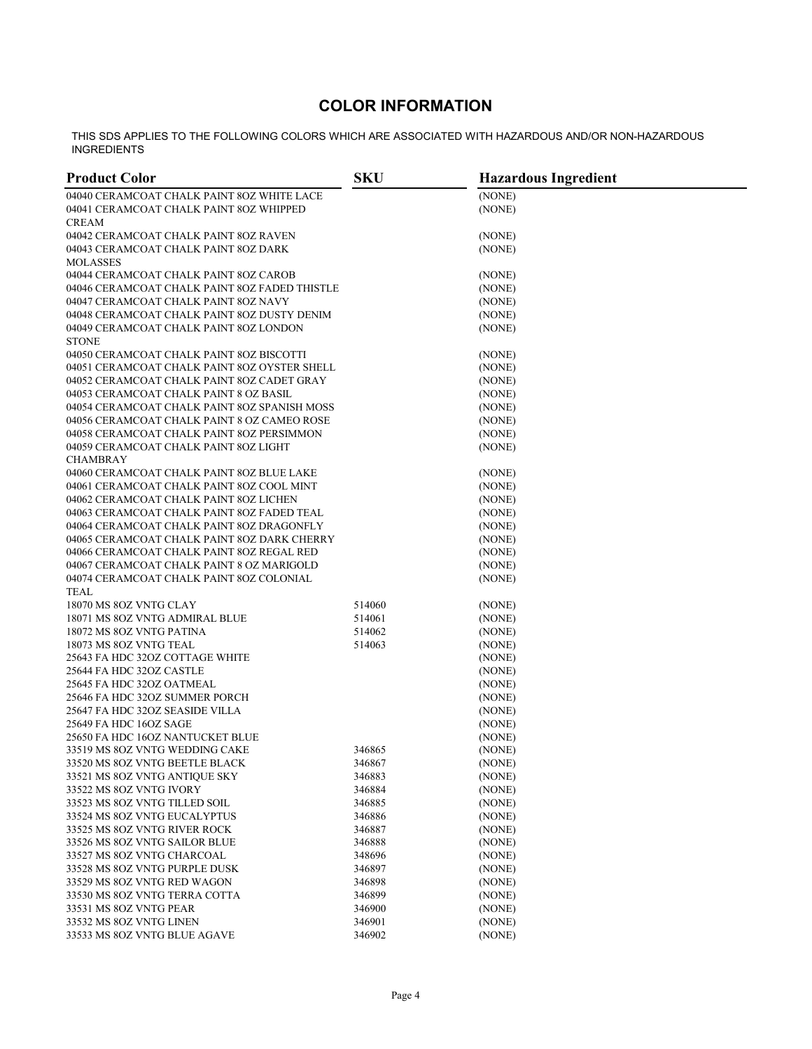# **COLOR INFORMATION**

THIS SDS APPLIES TO THE FOLLOWING COLORS WHICH ARE ASSOCIATED WITH HAZARDOUS AND/OR NON-HAZARDOUS INGREDIENTS

| <b>Product Color</b>                          | <b>SKU</b> | <b>Hazardous Ingredient</b> |
|-----------------------------------------------|------------|-----------------------------|
| 04040 CERAMCOAT CHALK PAINT 8OZ WHITE LACE    |            | (NONE)                      |
| 04041 CERAMCOAT CHALK PAINT 8OZ WHIPPED       |            | (NONE)                      |
| <b>CREAM</b>                                  |            |                             |
| 04042 CERAMCOAT CHALK PAINT 8OZ RAVEN         |            | (NONE)                      |
| 04043 CERAMCOAT CHALK PAINT 8OZ DARK          |            | (NONE)                      |
| <b>MOLASSES</b>                               |            |                             |
| 04044 CERAMCOAT CHALK PAINT 8OZ CAROB         |            | (NONE)                      |
| 04046 CERAMCOAT CHALK PAINT 8OZ FADED THISTLE |            | (NONE)                      |
| 04047 CERAMCOAT CHALK PAINT 8OZ NAVY          |            | (NONE)                      |
| 04048 CERAMCOAT CHALK PAINT 8OZ DUSTY DENIM   |            | (NONE)                      |
| 04049 CERAMCOAT CHALK PAINT 8OZ LONDON        |            | (NONE)                      |
| <b>STONE</b>                                  |            |                             |
| 04050 CERAMCOAT CHALK PAINT 8OZ BISCOTTI      |            | (NONE)                      |
| 04051 CERAMCOAT CHALK PAINT 8OZ OYSTER SHELL  |            | (NONE)                      |
| 04052 CERAMCOAT CHALK PAINT 8OZ CADET GRAY    |            | (NONE)                      |
| 04053 CERAMCOAT CHALK PAINT 8 OZ BASIL        |            | (NONE)                      |
| 04054 CERAMCOAT CHALK PAINT 8OZ SPANISH MOSS  |            | (NONE)                      |
| 04056 CERAMCOAT CHALK PAINT 8 OZ CAMEO ROSE   |            | (NONE)                      |
| 04058 CERAMCOAT CHALK PAINT 8OZ PERSIMMON     |            | (NONE)                      |
| 04059 CERAMCOAT CHALK PAINT 8OZ LIGHT         |            | (NONE)                      |
| <b>CHAMBRAY</b>                               |            |                             |
| 04060 CERAMCOAT CHALK PAINT 8OZ BLUE LAKE     |            | (NONE)                      |
| 04061 CERAMCOAT CHALK PAINT 8OZ COOL MINT     |            | (NONE)                      |
| 04062 CERAMCOAT CHALK PAINT 8OZ LICHEN        |            | (NONE)                      |
| 04063 CERAMCOAT CHALK PAINT 80Z FADED TEAL    |            | (NONE)                      |
| 04064 CERAMCOAT CHALK PAINT 8OZ DRAGONFLY     |            | (NONE)                      |
| 04065 CERAMCOAT CHALK PAINT 8OZ DARK CHERRY   |            | (NONE)                      |
| 04066 CERAMCOAT CHALK PAINT 8OZ REGAL RED     |            | (NONE)                      |
| 04067 CERAMCOAT CHALK PAINT 8 OZ MARIGOLD     |            | (NONE)                      |
| 04074 CERAMCOAT CHALK PAINT 8OZ COLONIAL      |            | (NONE)                      |
| TEAL                                          |            |                             |
| 18070 MS 8OZ VNTG CLAY                        | 514060     | (NONE)                      |
| 18071 MS 8OZ VNTG ADMIRAL BLUE                | 514061     | (NONE)                      |
| 18072 MS 8OZ VNTG PATINA                      | 514062     | (NONE)                      |
| 18073 MS 8OZ VNTG TEAL                        | 514063     | (NONE)                      |
| 25643 FA HDC 32OZ COTTAGE WHITE               |            | (NONE)                      |
| 25644 FA HDC 32OZ CASTLE                      |            | (NONE)                      |
| 25645 FA HDC 32OZ OATMEAL                     |            | (NONE)                      |
| 25646 FA HDC 32OZ SUMMER PORCH                |            | (NONE)                      |
| 25647 FA HDC 32OZ SEASIDE VILLA               |            | (NONE)                      |
| 25649 FA HDC 16OZ SAGE                        |            | (NONE)                      |
| 25650 FA HDC 16OZ NANTUCKET BLUE              |            | (NONE)                      |
| 33519 MS 8OZ VNTG WEDDING CAKE                | 346865     | (NONE)                      |
| 33520 MS 8OZ VNTG BEETLE BLACK                | 346867     | (NONE)                      |
| 33521 MS 8OZ VNTG ANTIQUE SKY                 | 346883     | (NONE)                      |
| 33522 MS 8OZ VNTG IVORY                       | 346884     | (NONE)                      |
| 33523 MS 8OZ VNTG TILLED SOIL                 | 346885     | (NONE)                      |
| 33524 MS 8OZ VNTG EUCALYPTUS                  | 346886     | (NONE)                      |
| 33525 MS 8OZ VNTG RIVER ROCK                  | 346887     | (NONE)                      |
| 33526 MS 8OZ VNTG SAILOR BLUE                 | 346888     | (NONE)                      |
| 33527 MS 8OZ VNTG CHARCOAL                    | 348696     | (NONE)                      |
| 33528 MS 8OZ VNTG PURPLE DUSK                 | 346897     | (NONE)                      |
| 33529 MS 8OZ VNTG RED WAGON                   | 346898     | (NONE)                      |
| 33530 MS 8OZ VNTG TERRA COTTA                 | 346899     | (NONE)                      |
| 33531 MS 8OZ VNTG PEAR                        | 346900     | (NONE)                      |
| 33532 MS 8OZ VNTG LINEN                       | 346901     | (NONE)                      |
| 33533 MS 8OZ VNTG BLUE AGAVE                  | 346902     | (NONE)                      |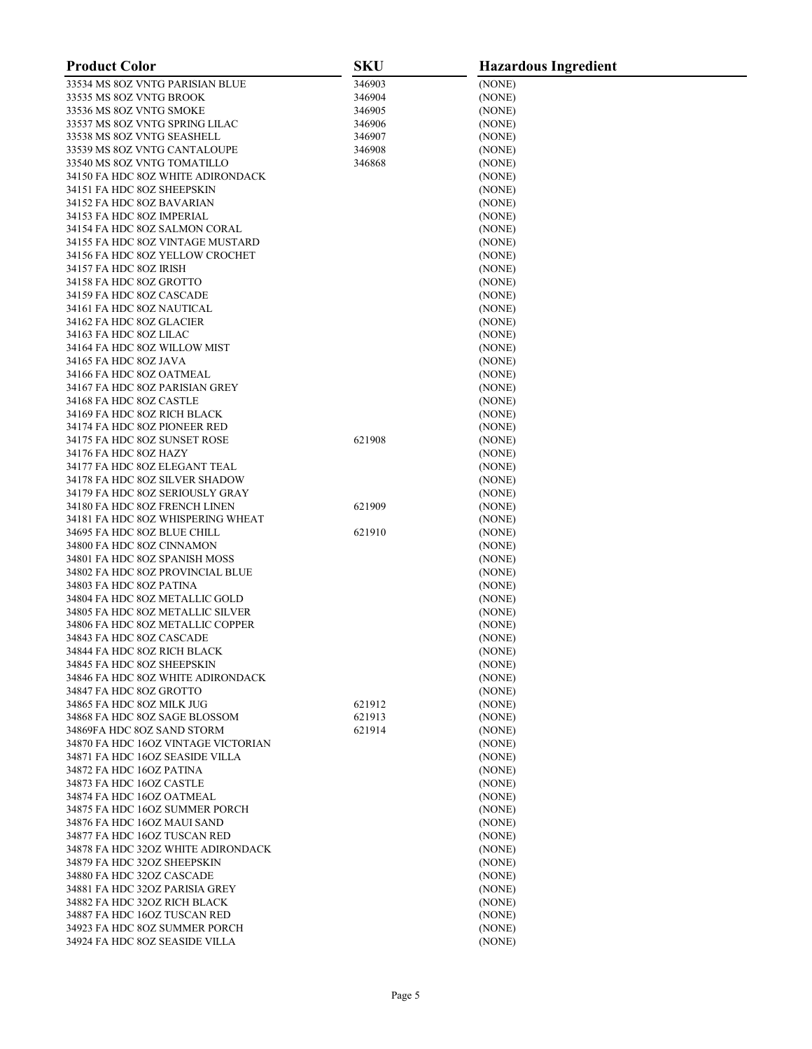| <b>Product Color</b>                                              | <b>SKU</b> | <b>Hazardous Ingredient</b> |
|-------------------------------------------------------------------|------------|-----------------------------|
| 33534 MS 8OZ VNTG PARISIAN BLUE                                   | 346903     | (NONE)                      |
| 33535 MS 8OZ VNTG BROOK                                           | 346904     | (NONE)                      |
| 33536 MS 8OZ VNTG SMOKE                                           | 346905     | (NONE)                      |
| 33537 MS 8OZ VNTG SPRING LILAC                                    | 346906     | (NONE)                      |
| 33538 MS 8OZ VNTG SEASHELL                                        | 346907     | (NONE)                      |
| 33539 MS 8OZ VNTG CANTALOUPE                                      | 346908     | (NONE)                      |
| 33540 MS 8OZ VNTG TOMATILLO                                       | 346868     | (NONE)                      |
| 34150 FA HDC 8OZ WHITE ADIRONDACK<br>34151 FA HDC 8OZ SHEEPSKIN   |            | (NONE)<br>(NONE)            |
| 34152 FA HDC 8OZ BAVARIAN                                         |            | (NONE)                      |
| 34153 FA HDC 8OZ IMPERIAL                                         |            | (NONE)                      |
| 34154 FA HDC 8OZ SALMON CORAL                                     |            | (NONE)                      |
| 34155 FA HDC 8OZ VINTAGE MUSTARD                                  |            | (NONE)                      |
| 34156 FA HDC 8OZ YELLOW CROCHET                                   |            | (NONE)                      |
| 34157 FA HDC 8OZ IRISH                                            |            | (NONE)                      |
| 34158 FA HDC 8OZ GROTTO                                           |            | (NONE)                      |
| 34159 FA HDC 8OZ CASCADE                                          |            | (NONE)                      |
| 34161 FA HDC 8OZ NAUTICAL                                         |            | (NONE)                      |
| 34162 FA HDC 8OZ GLACIER<br>34163 FA HDC 8OZ LILAC                |            | (NONE)<br>(NONE)            |
| 34164 FA HDC 8OZ WILLOW MIST                                      |            | (NONE)                      |
| 34165 FA HDC 8OZ JAVA                                             |            | (NONE)                      |
| 34166 FA HDC 8OZ OATMEAL                                          |            | (NONE)                      |
| 34167 FA HDC 8OZ PARISIAN GREY                                    |            | (NONE)                      |
| 34168 FA HDC 8OZ CASTLE                                           |            | (NONE)                      |
| 34169 FA HDC 8OZ RICH BLACK                                       |            | (NONE)                      |
| 34174 FA HDC 8OZ PIONEER RED                                      |            | (NONE)                      |
| 34175 FA HDC 8OZ SUNSET ROSE                                      | 621908     | (NONE)                      |
| 34176 FA HDC 8OZ HAZY                                             |            | (NONE)                      |
| 34177 FA HDC 8OZ ELEGANT TEAL                                     |            | (NONE)                      |
| 34178 FA HDC 8OZ SILVER SHADOW<br>34179 FA HDC 8OZ SERIOUSLY GRAY |            | (NONE)<br>(NONE)            |
| 34180 FA HDC 8OZ FRENCH LINEN                                     | 621909     | (NONE)                      |
| 34181 FA HDC 8OZ WHISPERING WHEAT                                 |            | (NONE)                      |
| 34695 FA HDC 8OZ BLUE CHILL                                       | 621910     | (NONE)                      |
| 34800 FA HDC 8OZ CINNAMON                                         |            | (NONE)                      |
| 34801 FA HDC 8OZ SPANISH MOSS                                     |            | (NONE)                      |
| 34802 FA HDC 8OZ PROVINCIAL BLUE                                  |            | (NONE)                      |
| 34803 FA HDC 8OZ PATINA                                           |            | (NONE)                      |
| 34804 FA HDC 8OZ METALLIC GOLD                                    |            | (NONE)                      |
| 34805 FA HDC 8OZ METALLIC SILVER                                  |            | (NONE)                      |
| 34806 FA HDC 8OZ METALLIC COPPER<br>34843 FA HDC 8OZ CASCADE      |            | (NONE)<br>(NONE)            |
| 34844 FA HDC 8OZ RICH BLACK                                       |            | (NONE)                      |
| 34845 FA HDC 8OZ SHEEPSKIN                                        |            | (NONE)                      |
| 34846 FA HDC 8OZ WHITE ADIRONDACK                                 |            | (NONE)                      |
| 34847 FA HDC 8OZ GROTTO                                           |            | (NONE)                      |
| 34865 FA HDC 8OZ MILK JUG                                         | 621912     | (NONE)                      |
| 34868 FA HDC 8OZ SAGE BLOSSOM                                     | 621913     | (NONE)                      |
| 34869FA HDC 8OZ SAND STORM                                        | 621914     | (NONE)                      |
| 34870 FA HDC 16OZ VINTAGE VICTORIAN                               |            | (NONE)                      |
| 34871 FA HDC 16OZ SEASIDE VILLA                                   |            | (NONE)                      |
| 34872 FA HDC 16OZ PATINA<br>34873 FA HDC 16OZ CASTLE              |            | (NONE)<br>(NONE)            |
| 34874 FA HDC 16OZ OATMEAL                                         |            | (NONE)                      |
| 34875 FA HDC 16OZ SUMMER PORCH                                    |            | (NONE)                      |
| 34876 FA HDC 16OZ MAUI SAND                                       |            | (NONE)                      |
| 34877 FA HDC 16OZ TUSCAN RED                                      |            | (NONE)                      |
| 34878 FA HDC 32OZ WHITE ADIRONDACK                                |            | (NONE)                      |
| 34879 FA HDC 32OZ SHEEPSKIN                                       |            | (NONE)                      |
| 34880 FA HDC 32OZ CASCADE                                         |            | (NONE)                      |
| 34881 FA HDC 32OZ PARISIA GREY                                    |            | (NONE)                      |
| 34882 FA HDC 32OZ RICH BLACK                                      |            | (NONE)                      |
| 34887 FA HDC 16OZ TUSCAN RED                                      |            | (NONE)                      |
| 34923 FA HDC 8OZ SUMMER PORCH<br>34924 FA HDC 8OZ SEASIDE VILLA   |            | (NONE)<br>(NONE)            |
|                                                                   |            |                             |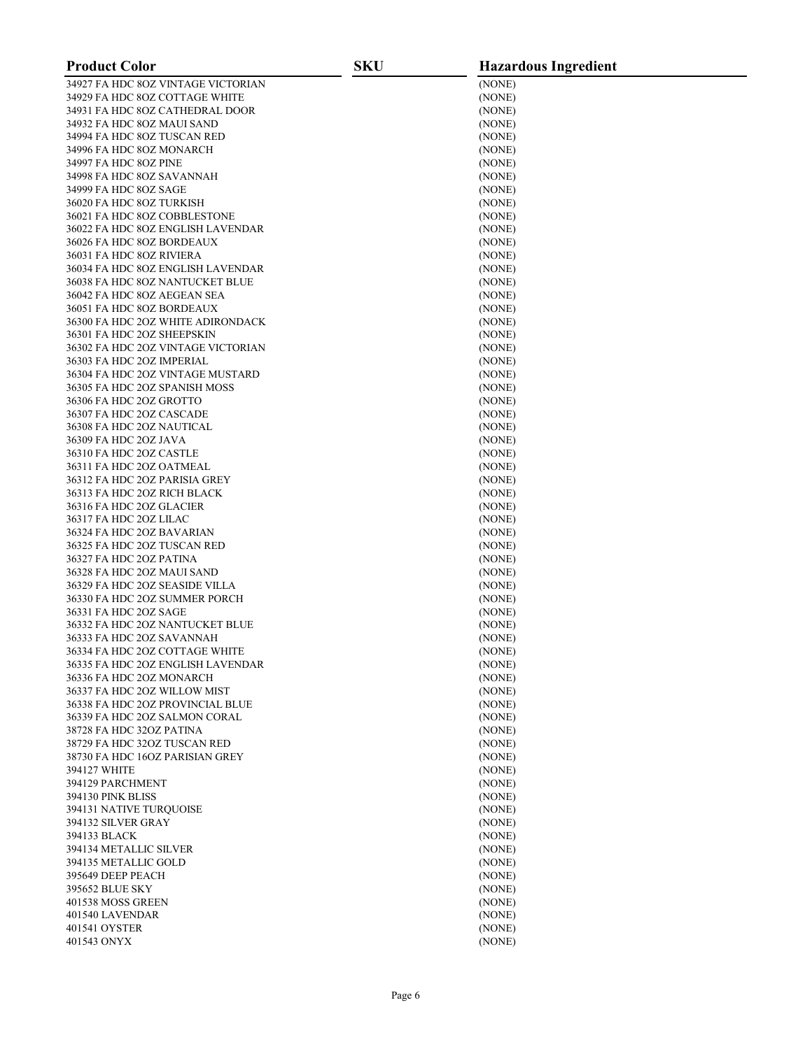| <b>Product Color</b>                                           | SKU | <b>Hazardous Ingredient</b> |
|----------------------------------------------------------------|-----|-----------------------------|
| 34927 FA HDC 8OZ VINTAGE VICTORIAN                             |     | (NONE)                      |
| 34929 FA HDC 8OZ COTTAGE WHITE                                 |     | (NONE)                      |
| 34931 FA HDC 8OZ CATHEDRAL DOOR                                |     | (NONE)                      |
| 34932 FA HDC 8OZ MAUI SAND                                     |     | (NONE)                      |
| 34994 FA HDC 8OZ TUSCAN RED                                    |     | (NONE)                      |
| 34996 FA HDC 8OZ MONARCH                                       |     | (NONE)                      |
| 34997 FA HDC 8OZ PINE                                          |     | (NONE)                      |
| 34998 FA HDC 8OZ SAVANNAH                                      |     | (NONE)                      |
| 34999 FA HDC 8OZ SAGE                                          |     | (NONE)                      |
| 36020 FA HDC 8OZ TURKISH                                       |     | (NONE)                      |
| 36021 FA HDC 8OZ COBBLESTONE                                   |     | (NONE)                      |
| 36022 FA HDC 8OZ ENGLISH LAVENDAR<br>36026 FA HDC 8OZ BORDEAUX |     | (NONE)<br>(NONE)            |
| 36031 FA HDC 8OZ RIVIERA                                       |     | (NONE)                      |
| 36034 FA HDC 8OZ ENGLISH LAVENDAR                              |     | (NONE)                      |
| 36038 FA HDC 8OZ NANTUCKET BLUE                                |     | (NONE)                      |
| 36042 FA HDC 8OZ AEGEAN SEA                                    |     | (NONE)                      |
| 36051 FA HDC 8OZ BORDEAUX                                      |     | (NONE)                      |
| 36300 FA HDC 2OZ WHITE ADIRONDACK                              |     | (NONE)                      |
| 36301 FA HDC 2OZ SHEEPSKIN                                     |     | (NONE)                      |
| 36302 FA HDC 2OZ VINTAGE VICTORIAN                             |     | (NONE)                      |
| 36303 FA HDC 2OZ IMPERIAL                                      |     | (NONE)                      |
| 36304 FA HDC 2OZ VINTAGE MUSTARD                               |     | (NONE)                      |
| 36305 FA HDC 2OZ SPANISH MOSS                                  |     | (NONE)                      |
| 36306 FA HDC 2OZ GROTTO                                        |     | (NONE)                      |
| 36307 FA HDC 2OZ CASCADE                                       |     | (NONE)                      |
| 36308 FA HDC 2OZ NAUTICAL                                      |     | (NONE)                      |
| 36309 FA HDC 2OZ JAVA                                          |     | (NONE)                      |
| 36310 FA HDC 2OZ CASTLE                                        |     | (NONE)                      |
| 36311 FA HDC 2OZ OATMEAL                                       |     | (NONE)                      |
| 36312 FA HDC 2OZ PARISIA GREY                                  |     | (NONE)                      |
| 36313 FA HDC 2OZ RICH BLACK                                    |     | (NONE)                      |
| 36316 FA HDC 2OZ GLACIER                                       |     | (NONE)                      |
| 36317 FA HDC 2OZ LILAC                                         |     | (NONE)                      |
| 36324 FA HDC 2OZ BAVARIAN                                      |     | (NONE)                      |
| 36325 FA HDC 2OZ TUSCAN RED                                    |     | (NONE)                      |
| 36327 FA HDC 2OZ PATINA                                        |     | (NONE)                      |
| 36328 FA HDC 2OZ MAUI SAND                                     |     | (NONE)                      |
| 36329 FA HDC 2OZ SEASIDE VILLA                                 |     | (NONE)                      |
| 36330 FA HDC 2OZ SUMMER PORCH                                  |     | (NONE)                      |
| 36331 FA HDC 2OZ SAGE                                          |     | (NONE)                      |
| 36332 FA HDC 2OZ NANTUCKET BLUE<br>36333 FA HDC 2OZ SAVANNAH   |     | (NONE)<br>(NONE)            |
| 36334 FA HDC 2OZ COTTAGE WHITE                                 |     | (NONE)                      |
| 36335 FA HDC 2OZ ENGLISH LAVENDAR                              |     | (NONE)                      |
| 36336 FA HDC 2OZ MONARCH                                       |     | (NONE)                      |
| 36337 FA HDC 2OZ WILLOW MIST                                   |     | (NONE)                      |
| 36338 FA HDC 2OZ PROVINCIAL BLUE                               |     | (NONE)                      |
| 36339 FA HDC 2OZ SALMON CORAL                                  |     | (NONE)                      |
| 38728 FA HDC 32OZ PATINA                                       |     | (NONE)                      |
| 38729 FA HDC 32OZ TUSCAN RED                                   |     | (NONE)                      |
| 38730 FA HDC 16OZ PARISIAN GREY                                |     | (NONE)                      |
| 394127 WHITE                                                   |     | (NONE)                      |
| 394129 PARCHMENT                                               |     | (NONE)                      |
| 394130 PINK BLISS                                              |     | (NONE)                      |
| 394131 NATIVE TUROUOISE                                        |     | (NONE)                      |
| 394132 SILVER GRAY                                             |     | (NONE)                      |
| 394133 BLACK                                                   |     | (NONE)                      |
| 394134 METALLIC SILVER                                         |     | (NONE)                      |
| 394135 METALLIC GOLD                                           |     | (NONE)                      |
| 395649 DEEP PEACH                                              |     | (NONE)                      |
| 395652 BLUE SKY                                                |     | (NONE)                      |
| 401538 MOSS GREEN                                              |     | (NONE)                      |
| 401540 LAVENDAR                                                |     | (NONE)                      |
| 401541 OYSTER                                                  |     | (NONE)                      |
| 401543 ONYX                                                    |     | (NONE)                      |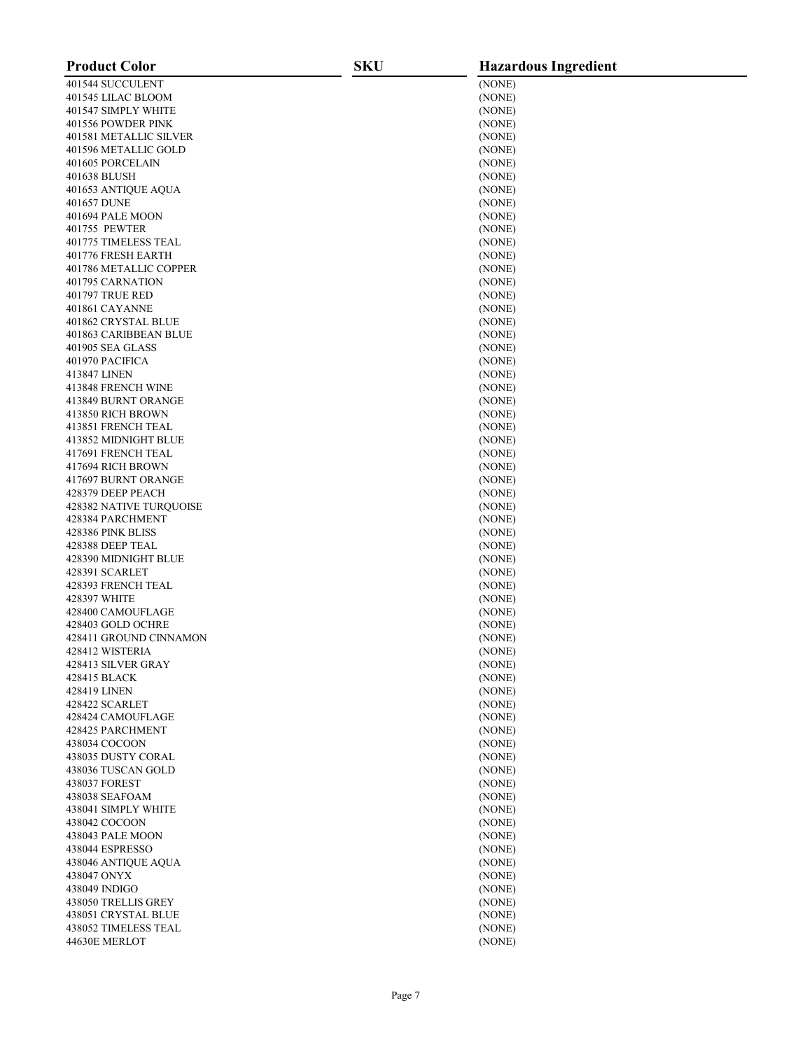| <b>Product Color</b>                       | <b>SKU</b> | <b>Hazardous Ingredient</b> |
|--------------------------------------------|------------|-----------------------------|
| 401544 SUCCULENT                           |            | (NONE)                      |
| 401545 LILAC BLOOM                         |            | (NONE)                      |
| 401547 SIMPLY WHITE                        |            | (NONE)                      |
| 401556 POWDER PINK                         |            | (NONE)                      |
| 401581 METALLIC SILVER                     |            | (NONE)                      |
| 401596 METALLIC GOLD                       |            | (NONE)                      |
| 401605 PORCELAIN                           |            | (NONE)                      |
| 401638 BLUSH                               |            | (NONE)                      |
| 401653 ANTIQUE AQUA                        |            | (NONE)                      |
| 401657 DUNE                                |            | (NONE)                      |
| 401694 PALE MOON                           |            | (NONE)                      |
| 401755 PEWTER                              |            | (NONE)                      |
| 401775 TIMELESS TEAL<br>401776 FRESH EARTH |            | (NONE)                      |
| 401786 METALLIC COPPER                     |            | (NONE)<br>(NONE)            |
| 401795 CARNATION                           |            | (NONE)                      |
| 401797 TRUE RED                            |            | (NONE)                      |
| 401861 CAYANNE                             |            | (NONE)                      |
| 401862 CRYSTAL BLUE                        |            | (NONE)                      |
| 401863 CARIBBEAN BLUE                      |            | (NONE)                      |
| 401905 SEA GLASS                           |            | (NONE)                      |
| 401970 PACIFICA                            |            | (NONE)                      |
| 413847 LINEN                               |            | (NONE)                      |
| 413848 FRENCH WINE                         |            | (NONE)                      |
| 413849 BURNT ORANGE                        |            | (NONE)                      |
| 413850 RICH BROWN                          |            | (NONE)                      |
| 413851 FRENCH TEAL                         |            | (NONE)                      |
| 413852 MIDNIGHT BLUE                       |            | (NONE)                      |
| 417691 FRENCH TEAL                         |            | (NONE)                      |
| 417694 RICH BROWN                          |            | (NONE)                      |
| 417697 BURNT ORANGE                        |            | (NONE)                      |
| 428379 DEEP PEACH                          |            | (NONE)                      |
| 428382 NATIVE TURQUOISE                    |            | (NONE)                      |
| 428384 PARCHMENT                           |            | (NONE)                      |
| 428386 PINK BLISS                          |            | (NONE)                      |
| 428388 DEEP TEAL<br>428390 MIDNIGHT BLUE   |            | (NONE)<br>(NONE)            |
| 428391 SCARLET                             |            | (NONE)                      |
| 428393 FRENCH TEAL                         |            | (NONE)                      |
| 428397 WHITE                               |            | (NONE)                      |
| 428400 CAMOUFLAGE                          |            | (NONE)                      |
| 428403 GOLD OCHRE                          |            | (NONE)                      |
| 428411 GROUND CINNAMON                     |            | (NONE)                      |
| 428412 WISTERIA                            |            | (NONE)                      |
| 428413 SILVER GRAY                         |            | (NONE)                      |
| 428415 BLACK                               |            | (NONE)                      |
| 428419 LINEN                               |            | (NONE)                      |
| 428422 SCARLET                             |            | (NONE)                      |
| 428424 CAMOUFLAGE                          |            | (NONE)                      |
| 428425 PARCHMENT                           |            | (NONE)                      |
| 438034 COCOON                              |            | (NONE)                      |
| 438035 DUSTY CORAL                         |            | (NONE)                      |
| 438036 TUSCAN GOLD                         |            | (NONE)                      |
| 438037 FOREST<br>438038 SEAFOAM            |            | (NONE)<br>(NONE)            |
| 438041 SIMPLY WHITE                        |            | (NONE)                      |
| 438042 COCOON                              |            | (NONE)                      |
| 438043 PALE MOON                           |            | (NONE)                      |
| 438044 ESPRESSO                            |            | (NONE)                      |
| 438046 ANTIQUE AQUA                        |            | (NONE)                      |
| 438047 ONYX                                |            | (NONE)                      |
| 438049 INDIGO                              |            | (NONE)                      |
| 438050 TRELLIS GREY                        |            | (NONE)                      |
| 438051 CRYSTAL BLUE                        |            | (NONE)                      |
| 438052 TIMELESS TEAL                       |            | (NONE)                      |
| 44630E MERLOT                              |            | (NONE)                      |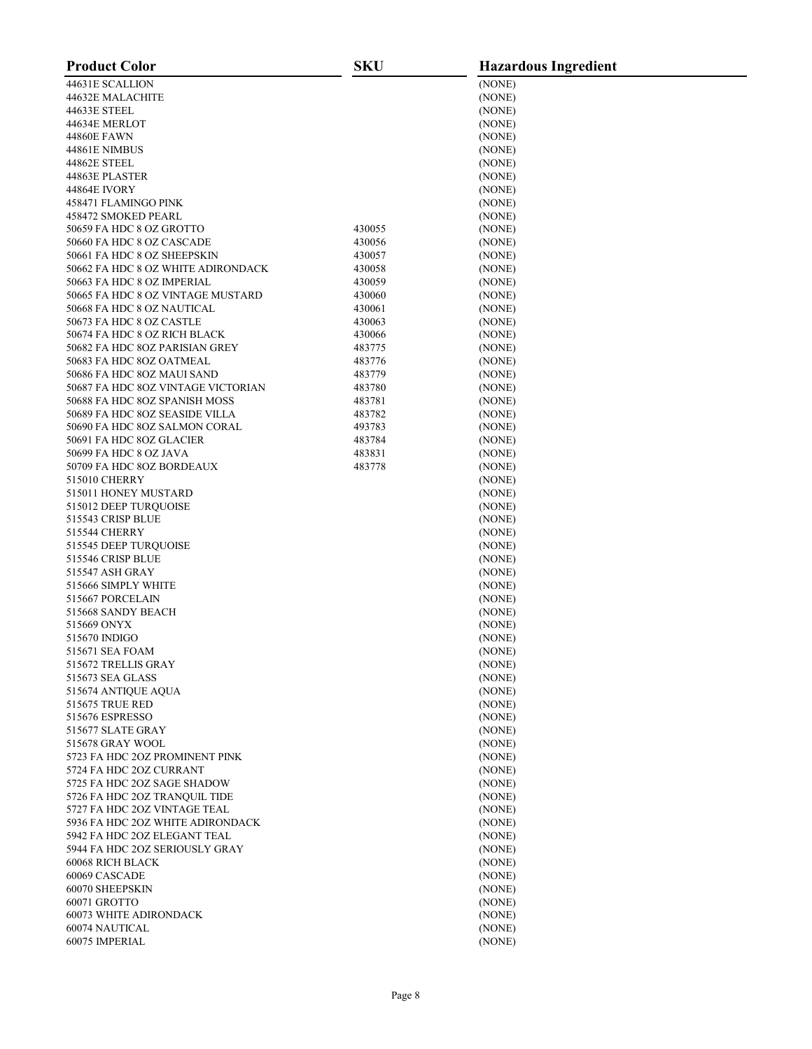| <b>Product Color</b>                    | <b>SKU</b> | <b>Hazardous Ingredient</b> |
|-----------------------------------------|------------|-----------------------------|
| 44631E SCALLION                         |            | (NONE)                      |
| 44632E MALACHITE                        |            | (NONE)                      |
| 44633E STEEL                            |            | (NONE)                      |
| 44634E MERLOT                           |            | (NONE)                      |
| 44860E FAWN                             |            | (NONE)                      |
| 44861E NIMBUS                           |            | (NONE)                      |
| 44862E STEEL                            |            | (NONE)                      |
| 44863E PLASTER                          |            | (NONE)                      |
| <b>44864E IVORY</b>                     |            | (NONE)                      |
| 458471 FLAMINGO PINK                    |            | (NONE)                      |
| 458472 SMOKED PEARL                     |            | (NONE)                      |
| 50659 FA HDC 8 OZ GROTTO                | 430055     | (NONE)                      |
| 50660 FA HDC 8 OZ CASCADE               | 430056     | (NONE)                      |
| 50661 FA HDC 8 OZ SHEEPSKIN             | 430057     | (NONE)                      |
| 50662 FA HDC 8 OZ WHITE ADIRONDACK      | 430058     | (NONE)                      |
| 50663 FA HDC 8 OZ IMPERIAL              | 430059     | (NONE)                      |
| 50665 FA HDC 8 OZ VINTAGE MUSTARD       | 430060     | (NONE)                      |
| 50668 FA HDC 8 OZ NAUTICAL              | 430061     | (NONE)                      |
| 50673 FA HDC 8 OZ CASTLE                | 430063     | (NONE)                      |
| 50674 FA HDC 8 OZ RICH BLACK            | 430066     | (NONE)                      |
| 50682 FA HDC 8OZ PARISIAN GREY          | 483775     | (NONE)                      |
| 50683 FA HDC 8OZ OATMEAL                | 483776     | (NONE)                      |
| 50686 FA HDC 8OZ MAUI SAND              | 483779     | (NONE)                      |
| 50687 FA HDC 8OZ VINTAGE VICTORIAN      | 483780     | (NONE)                      |
| 50688 FA HDC 8OZ SPANISH MOSS           | 483781     | (NONE)                      |
| 50689 FA HDC 8OZ SEASIDE VILLA          | 483782     | (NONE)                      |
| 50690 FA HDC 8OZ SALMON CORAL           | 493783     | (NONE)                      |
| 50691 FA HDC 8OZ GLACIER                | 483784     | (NONE)                      |
| 50699 FA HDC 8 OZ JAVA                  | 483831     | (NONE)                      |
| 50709 FA HDC 8OZ BORDEAUX               | 483778     | (NONE)                      |
| 515010 CHERRY                           |            | (NONE)                      |
| 515011 HONEY MUSTARD                    |            | (NONE)                      |
| 515012 DEEP TURQUOISE                   |            | (NONE)                      |
| 515543 CRISP BLUE                       |            | (NONE)                      |
| 515544 CHERRY                           |            | (NONE)                      |
| 515545 DEEP TURQUOISE                   |            | (NONE)                      |
| 515546 CRISP BLUE                       |            | (NONE)                      |
| 515547 ASH GRAY                         |            | (NONE)                      |
| 515666 SIMPLY WHITE<br>515667 PORCELAIN |            | (NONE)                      |
|                                         |            | (NONE)                      |
| 515668 SANDY BEACH<br>515669 ONYX       |            | (NONE)<br>(NONE)            |
| 515670 INDIGO                           |            |                             |
| 515671 SEA FOAM                         |            | (NONE)<br>(NONE)            |
| 515672 TRELLIS GRAY                     |            | (NONE)                      |
| 515673 SEA GLASS                        |            | (NONE)                      |
| 515674 ANTIQUE AQUA                     |            | (NONE)                      |
| 515675 TRUE RED                         |            | (NONE)                      |
| 515676 ESPRESSO                         |            | (NONE)                      |
| 515677 SLATE GRAY                       |            | (NONE)                      |
| 515678 GRAY WOOL                        |            | (NONE)                      |
| 5723 FA HDC 2OZ PROMINENT PINK          |            | (NONE)                      |
| 5724 FA HDC 2OZ CURRANT                 |            | (NONE)                      |
| 5725 FA HDC 2OZ SAGE SHADOW             |            | (NONE)                      |
| 5726 FA HDC 2OZ TRANQUIL TIDE           |            | (NONE)                      |
| 5727 FA HDC 20Z VINTAGE TEAL            |            | (NONE)                      |
| 5936 FA HDC 2OZ WHITE ADIRONDACK        |            | (NONE)                      |
| 5942 FA HDC 2OZ ELEGANT TEAL            |            | (NONE)                      |
| 5944 FA HDC 2OZ SERIOUSLY GRAY          |            | (NONE)                      |
| 60068 RICH BLACK                        |            | (NONE)                      |
| 60069 CASCADE                           |            | (NONE)                      |
| 60070 SHEEPSKIN                         |            | (NONE)                      |
| 60071 GROTTO                            |            | (NONE)                      |
| <b>60073 WHITE ADIRONDACK</b>           |            | (NONE)                      |
| 60074 NAUTICAL                          |            | (NONE)                      |
| 60075 IMPERIAL                          |            | (NONE)                      |
|                                         |            |                             |

## Page 8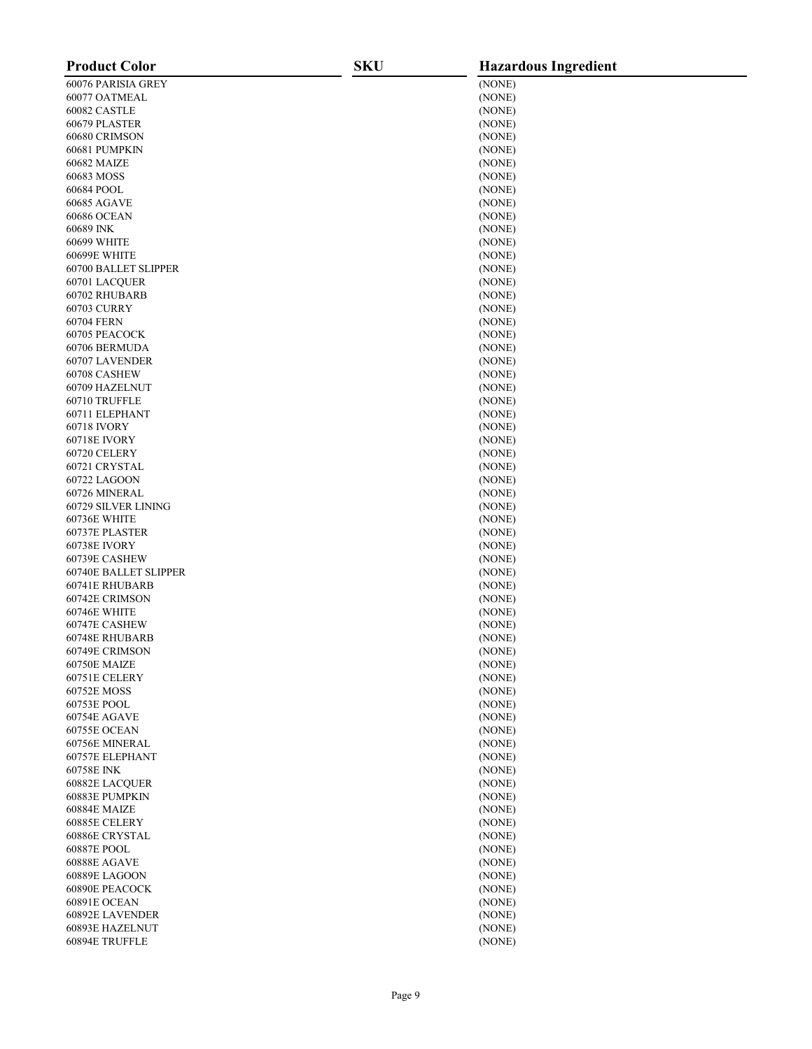| <b>Product Color</b>            | <b>SKU</b> | <b>Hazardous Ingredient</b> |
|---------------------------------|------------|-----------------------------|
| 60076 PARISIA GREY              |            | (NONE)                      |
| 60077 OATMEAL                   |            | (NONE)                      |
| 60082 CASTLE                    |            | (NONE)                      |
| 60679 PLASTER                   |            | (NONE)                      |
| 60680 CRIMSON                   |            | (NONE)                      |
| 60681 PUMPKIN                   |            | (NONE)                      |
| 60682 MAIZE                     |            | (NONE)                      |
| 60683 MOSS                      |            | (NONE)                      |
| 60684 POOL                      |            | (NONE)                      |
| <b>60685 AGAVE</b>              |            | (NONE)                      |
| 60686 OCEAN                     |            | (NONE)                      |
| 60689 INK                       |            | (NONE)                      |
| <b>60699 WHITE</b>              |            | (NONE)                      |
| 60699E WHITE                    |            | (NONE)                      |
| 60700 BALLET SLIPPER            |            | (NONE)                      |
| 60701 LACQUER                   |            | (NONE)                      |
| 60702 RHUBARB                   |            | (NONE)                      |
| 60703 CURRY                     |            | (NONE)                      |
| 60704 FERN                      |            | (NONE)                      |
| 60705 PEACOCK                   |            | (NONE)                      |
| 60706 BERMUDA                   |            | (NONE)                      |
| 60707 LAVENDER                  |            | (NONE)                      |
| 60708 CASHEW                    |            | (NONE)                      |
| 60709 HAZELNUT                  |            | (NONE)                      |
| 60710 TRUFFLE                   |            | (NONE)                      |
| 60711 ELEPHANT                  |            | (NONE)                      |
| 60718 IVORY                     |            | (NONE)                      |
| 60718E IVORY                    |            | (NONE)                      |
| 60720 CELERY                    |            | (NONE)                      |
| 60721 CRYSTAL                   |            | (NONE)                      |
| 60722 LAGOON                    |            | (NONE)                      |
| 60726 MINERAL                   |            | (NONE)                      |
| 60729 SILVER LINING             |            | (NONE)                      |
| 60736E WHITE                    |            | (NONE)                      |
| 60737E PLASTER                  |            | (NONE)                      |
| <b>60738E IVORY</b>             |            | (NONE)                      |
| 60739E CASHEW                   |            | (NONE)                      |
| 60740E BALLET SLIPPER           |            | (NONE)                      |
| 60741E RHUBARB                  |            | (NONE)                      |
| 60742E CRIMSON                  |            | (NONE)                      |
| 60746E WHITE                    |            | (NONE)                      |
| 60747E CASHEW                   |            | (NONE)                      |
| <b>60748E RHUBARB</b>           |            | (NONE)                      |
| 60749E CRIMSON                  |            | (NONE)                      |
| 60750E MAIZE                    |            | (NONE)                      |
| 60751E CELERY                   |            | (NONE)                      |
| 60752E MOSS                     |            | (NONE)                      |
| 60753E POOL                     |            | (NONE)                      |
| 60754E AGAVE                    |            | (NONE)                      |
| 60755E OCEAN                    |            | (NONE)                      |
| 60756E MINERAL                  |            | (NONE)                      |
| 60757E ELEPHANT                 |            | (NONE)                      |
| 60758E INK                      |            | (NONE)                      |
| 60882E LACQUER                  |            | (NONE)                      |
| 60883E PUMPKIN                  |            | (NONE)                      |
| 60884E MAIZE                    |            | (NONE)                      |
| 60885E CELERY<br>60886E CRYSTAL |            | (NONE)                      |
|                                 |            | (NONE)                      |
| 60887E POOL                     |            | (NONE)                      |
| 60888E AGAVE<br>60889E LAGOON   |            | (NONE)<br>(NONE)            |
| 60890E PEACOCK                  |            | (NONE)                      |
| <b>60891E OCEAN</b>             |            | (NONE)                      |
| 60892E LAVENDER                 |            | (NONE)                      |
| 60893E HAZELNUT                 |            | (NONE)                      |
| 60894E TRUFFLE                  |            | (NONE)                      |
|                                 |            |                             |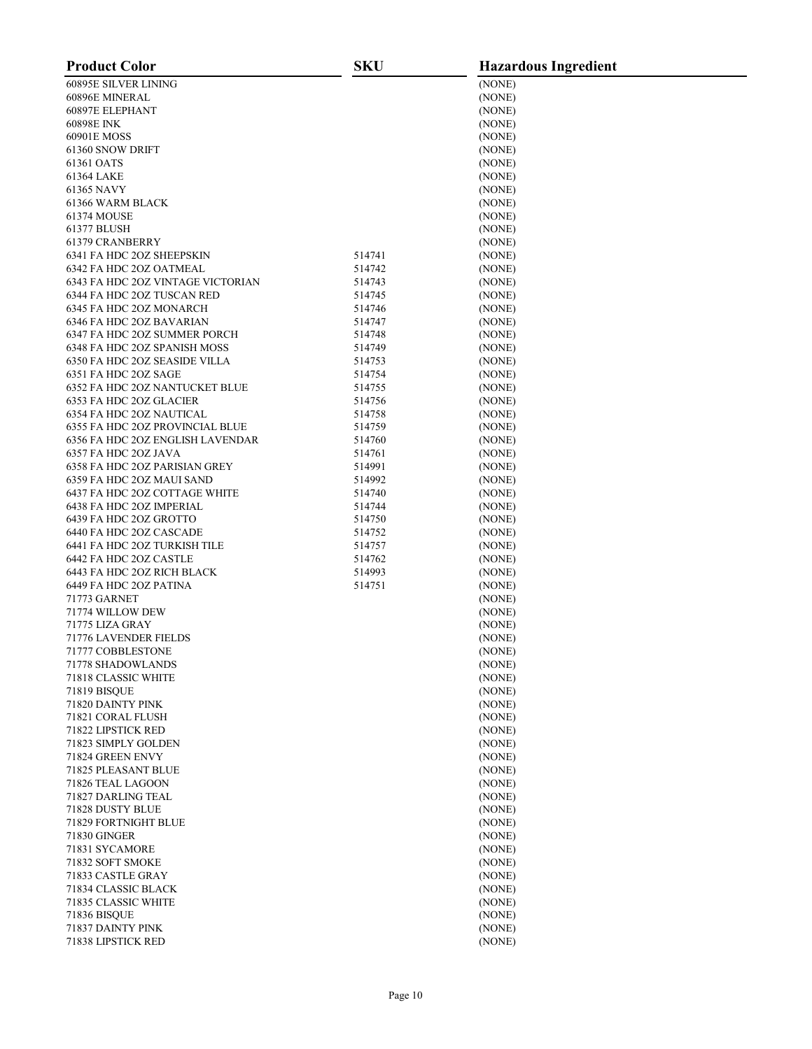| <b>Product Color</b>                                    | <b>SKU</b>       | <b>Hazardous Ingredient</b> |
|---------------------------------------------------------|------------------|-----------------------------|
| <b>60895E SILVER LINING</b>                             |                  | (NONE)                      |
| 60896E MINERAL                                          |                  | (NONE)                      |
| 60897E ELEPHANT                                         |                  | (NONE)                      |
| 60898E INK                                              |                  | (NONE)                      |
| 60901E MOSS                                             |                  | (NONE)                      |
| 61360 SNOW DRIFT                                        |                  | (NONE)                      |
| 61361 OATS                                              |                  | (NONE)                      |
| 61364 LAKE                                              |                  | (NONE)                      |
| 61365 NAVY                                              |                  | (NONE)                      |
| 61366 WARM BLACK                                        |                  | (NONE)                      |
| 61374 MOUSE                                             |                  | (NONE)                      |
| 61377 BLUSH                                             |                  | (NONE)                      |
| 61379 CRANBERRY                                         |                  | (NONE)                      |
| 6341 FA HDC 2OZ SHEEPSKIN                               | 514741           | (NONE)                      |
| 6342 FA HDC 2OZ OATMEAL                                 | 514742           | (NONE)                      |
| 6343 FA HDC 2OZ VINTAGE VICTORIAN                       | 514743           | (NONE)                      |
| 6344 FA HDC 2OZ TUSCAN RED                              | 514745           | (NONE)                      |
| 6345 FA HDC 2OZ MONARCH                                 | 514746           | (NONE)                      |
| 6346 FA HDC 2OZ BAVARIAN                                | 514747           | (NONE)                      |
| 6347 FA HDC 2OZ SUMMER PORCH                            | 514748           | (NONE)                      |
| 6348 FA HDC 2OZ SPANISH MOSS                            | 514749           | (NONE)                      |
| 6350 FA HDC 2OZ SEASIDE VILLA                           | 514753           | (NONE)                      |
| 6351 FA HDC 2OZ SAGE                                    | 514754           | (NONE)                      |
| 6352 FA HDC 2OZ NANTUCKET BLUE                          | 514755           | (NONE)                      |
| 6353 FA HDC 2OZ GLACIER                                 | 514756           | (NONE)                      |
| 6354 FA HDC 2OZ NAUTICAL                                | 514758           | (NONE)                      |
| 6355 FA HDC 2OZ PROVINCIAL BLUE                         | 514759           | (NONE)                      |
| 6356 FA HDC 2OZ ENGLISH LAVENDAR                        | 514760           | (NONE)                      |
| 6357 FA HDC 2OZ JAVA                                    | 514761           | (NONE)                      |
| 6358 FA HDC 2OZ PARISIAN GREY                           | 514991           | (NONE)                      |
| 6359 FA HDC 2OZ MAUI SAND                               | 514992           | (NONE)                      |
| 6437 FA HDC 2OZ COTTAGE WHITE                           | 514740           | (NONE)                      |
| 6438 FA HDC 2OZ IMPERIAL                                | 514744           | (NONE)                      |
| 6439 FA HDC 2OZ GROTTO                                  | 514750           | (NONE)                      |
| 6440 FA HDC 2OZ CASCADE<br>6441 FA HDC 2OZ TURKISH TILE | 514752           | (NONE)                      |
| 6442 FA HDC 2OZ CASTLE                                  | 514757<br>514762 | (NONE)                      |
| 6443 FA HDC 2OZ RICH BLACK                              | 514993           | (NONE)<br>(NONE)            |
| 6449 FA HDC 2OZ PATINA                                  | 514751           | (NONE)                      |
| 71773 GARNET                                            |                  | (NONE)                      |
| 71774 WILLOW DEW                                        |                  | (NONE)                      |
| 71775 LIZA GRAY                                         |                  | (NONE)                      |
| 71776 LAVENDER FIELDS                                   |                  | (NONE)                      |
| 71777 COBBLESTONE                                       |                  | (NONE)                      |
| 71778 SHADOWLANDS                                       |                  | (NONE)                      |
| 71818 CLASSIC WHITE                                     |                  | (NONE)                      |
| 71819 BISQUE                                            |                  | (NONE)                      |
| 71820 DAINTY PINK                                       |                  | (NONE)                      |
| 71821 CORAL FLUSH                                       |                  | (NONE)                      |
| 71822 LIPSTICK RED                                      |                  | (NONE)                      |
| 71823 SIMPLY GOLDEN                                     |                  | (NONE)                      |
| 71824 GREEN ENVY                                        |                  | (NONE)                      |
| 71825 PLEASANT BLUE                                     |                  | (NONE)                      |
| 71826 TEAL LAGOON                                       |                  | (NONE)                      |
| 71827 DARLING TEAL                                      |                  | (NONE)                      |
| 71828 DUSTY BLUE                                        |                  | (NONE)                      |
| 71829 FORTNIGHT BLUE                                    |                  | (NONE)                      |
| 71830 GINGER                                            |                  | (NONE)                      |
| 71831 SYCAMORE                                          |                  | (NONE)                      |
| 71832 SOFT SMOKE                                        |                  | (NONE)                      |
| 71833 CASTLE GRAY                                       |                  | (NONE)                      |
| 71834 CLASSIC BLACK                                     |                  | (NONE)                      |
| 71835 CLASSIC WHITE                                     |                  | (NONE)                      |
| <b>71836 BISQUE</b>                                     |                  | (NONE)                      |
| 71837 DAINTY PINK                                       |                  | (NONE)                      |
| 71838 LIPSTICK RED                                      |                  | (NONE)                      |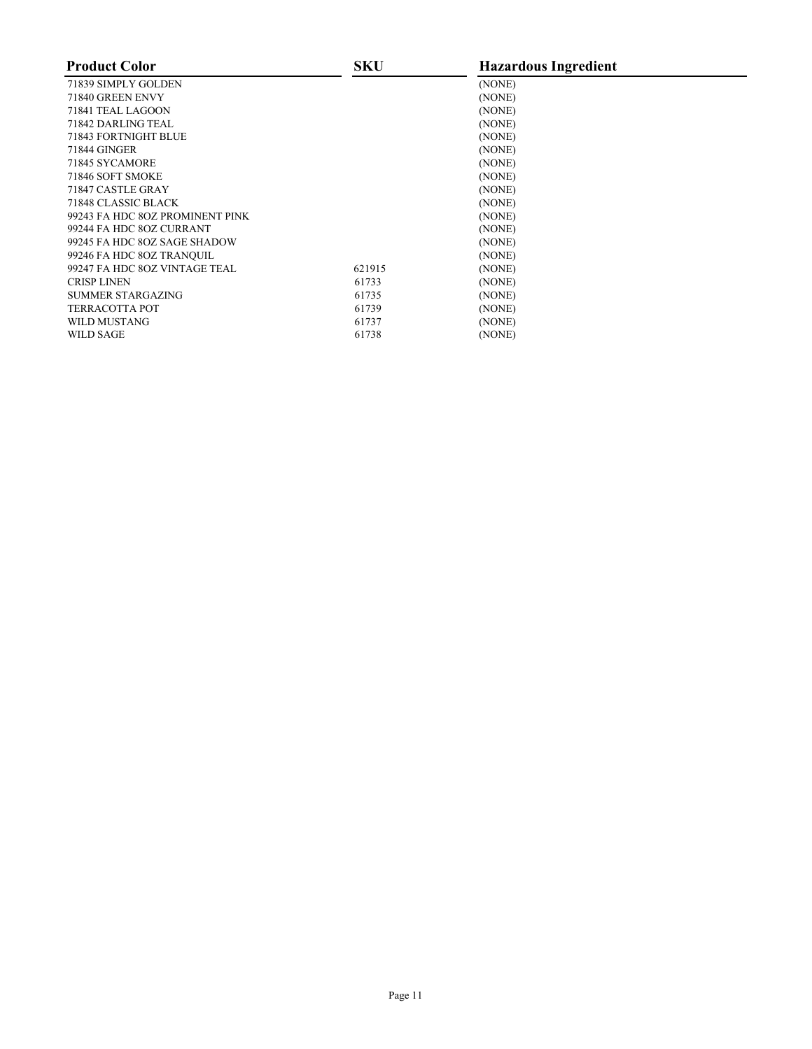| <b>Product Color</b>            | <b>SKU</b> | <b>Hazardous Ingredient</b> |
|---------------------------------|------------|-----------------------------|
| 71839 SIMPLY GOLDEN             |            | (NONE)                      |
| 71840 GREEN ENVY                |            | (NONE)                      |
| 71841 TEAL LAGOON               |            | (NONE)                      |
| 71842 DARLING TEAL              |            | (NONE)                      |
| 71843 FORTNIGHT BLUE            |            | (NONE)                      |
| 71844 GINGER                    |            | (NONE)                      |
| 71845 SYCAMORE                  |            | (NONE)                      |
| 71846 SOFT SMOKE                |            | (NONE)                      |
| 71847 CASTLE GRAY               |            | (NONE)                      |
| 71848 CLASSIC BLACK             |            | (NONE)                      |
| 99243 FA HDC 8OZ PROMINENT PINK |            | (NONE)                      |
| 99244 FA HDC 8OZ CURRANT        |            | (NONE)                      |
| 99245 FA HDC 8OZ SAGE SHADOW    |            | (NONE)                      |
| 99246 FA HDC 8OZ TRANOUIL       |            | (NONE)                      |
| 99247 FA HDC 8OZ VINTAGE TEAL   | 621915     | (NONE)                      |
| <b>CRISP LINEN</b>              | 61733      | (NONE)                      |
| SUMMER STARGAZING               | 61735      | (NONE)                      |
| <b>TERRACOTTA POT</b>           | 61739      | (NONE)                      |
| WILD MUSTANG                    | 61737      | (NONE)                      |
| WILD SAGE                       | 61738      | (NONE)                      |